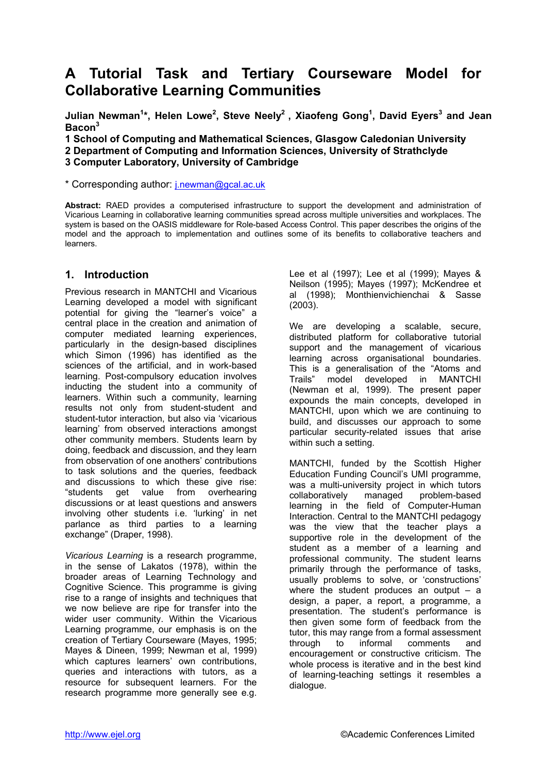# **A Tutorial Task and Tertiary Courseware Model for Collaborative Learning Communities**

Julian Newman<sup>1</sup>\*, Helen Lowe<sup>2</sup>, Steve Neely<sup>2</sup> , Xiaofeng Gong<sup>1</sup>, David Eyers<sup>3</sup> and Jean **Bacon<sup>3</sup>**

**1 School of Computing and Mathematical Sciences, Glasgow Caledonian University** 

**2 Department of Computing and Information Sciences, University of Strathclyde** 

**3 Computer Laboratory, University of Cambridge** 

\* Corresponding author: [j.newman@gcal.ac.uk](mailto:j.newman@gcal.ac.uk)

**Abstract:** RAED provides a computerised infrastructure to support the development and administration of Vicarious Learning in collaborative learning communities spread across multiple universities and workplaces. The system is based on the OASIS middleware for Role-based Access Control. This paper describes the origins of the model and the approach to implementation and outlines some of its benefits to collaborative teachers and learners.

### **1. Introduction**

Previous research in MANTCHI and Vicarious Learning developed a model with significant potential for giving the "learner's voice" a central place in the creation and animation of computer mediated learning experiences, particularly in the design-based disciplines which Simon (1996) has identified as the sciences of the artificial, and in work-based learning. Post-compulsory education involves inducting the student into a community of learners. Within such a community, learning results not only from student-student and student-tutor interaction, but also via 'vicarious learning' from observed interactions amongst other community members. Students learn by doing, feedback and discussion, and they learn from observation of one anothers' contributions to task solutions and the queries, feedback and discussions to which these give rise: "students get value from overhearing discussions or at least questions and answers involving other students i.e. 'lurking' in net parlance as third parties to a learning exchange" (Draper, 1998).

*Vicarious Learning* is a research programme, in the sense of Lakatos (1978), within the broader areas of Learning Technology and Cognitive Science. This programme is giving rise to a range of insights and techniques that we now believe are ripe for transfer into the wider user community. Within the Vicarious Learning programme, our emphasis is on the creation of Tertiary Courseware (Mayes, 1995; Mayes & Dineen, 1999; Newman et al, 1999) which captures learners' own contributions, queries and interactions with tutors, as a resource for subsequent learners. For the research programme more generally see e.g.

Lee et al (1997); Lee et al (1999); Mayes & Neilson (1995); Mayes (1997); McKendree et al (1998); Monthienvichienchai & Sasse (2003).

We are developing a scalable, secure, distributed platform for collaborative tutorial support and the management of vicarious learning across organisational boundaries. This is a generalisation of the "Atoms and Trails" model developed in MANTCHI (Newman et al, 1999). The present paper expounds the main concepts, developed in MANTCHI, upon which we are continuing to build, and discusses our approach to some particular security-related issues that arise within such a setting.

MANTCHI, funded by the Scottish Higher Education Funding Council's UMI programme, was a multi-university project in which tutors collaboratively managed problem-based learning in the field of Computer-Human Interaction. Central to the MANTCHI pedagogy was the view that the teacher plays a supportive role in the development of the student as a member of a learning and professional community. The student learns primarily through the performance of tasks, usually problems to solve, or 'constructions' where the student produces an output – a design, a paper, a report, a programme, a presentation. The student's performance is then given some form of feedback from the tutor, this may range from a formal assessment through to informal comments and encouragement or constructive criticism. The whole process is iterative and in the best kind of learning-teaching settings it resembles a dialogue.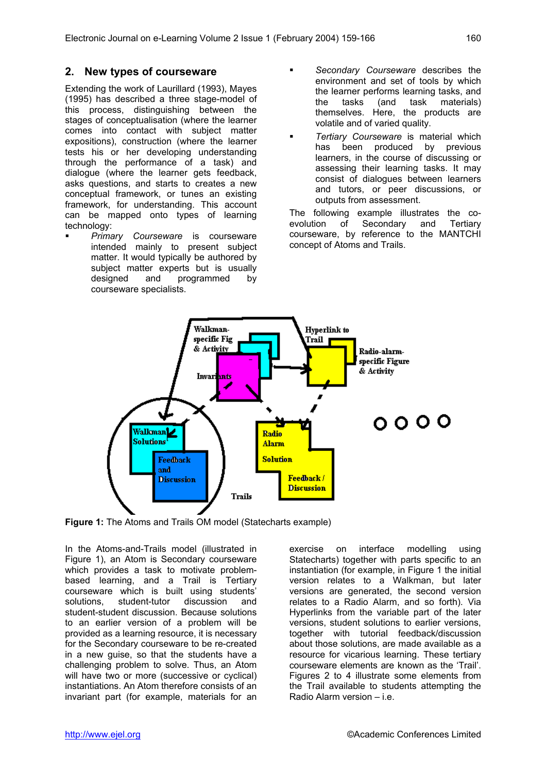### **2. New types of courseware**

Extending the work of Laurillard (1993), Mayes (1995) has described a three stage-model of this process, distinguishing between the stages of conceptualisation (where the learner comes into contact with subject matter expositions), construction (where the learner tests his or her developing understanding through the performance of a task) and dialogue (where the learner gets feedback, asks questions, and starts to creates a new conceptual framework, or tunes an existing framework, for understanding. This account can be mapped onto types of learning technology:

! *Primary Courseware* is courseware intended mainly to present subject matter. It would typically be authored by subject matter experts but is usually designed and programmed by courseware specialists.

- ! *Secondary Courseware* describes the environment and set of tools by which the learner performs learning tasks, and the tasks (and task materials) themselves. Here, the products are volatile and of varied quality.
- ! *Tertiary Courseware* is material which has been produced by previous learners, in the course of discussing or assessing their learning tasks. It may consist of dialogues between learners and tutors, or peer discussions, or outputs from assessment.

The following example illustrates the coevolution of Secondary and Tertiary courseware, by reference to the MANTCHI concept of Atoms and Trails.



**Figure 1:** The Atoms and Trails OM model (Statecharts example)

In the Atoms-and-Trails model (illustrated in Figure 1), an Atom is Secondary courseware which provides a task to motivate problembased learning, and a Trail is Tertiary courseware which is built using students' solutions, student-tutor discussion and student-student discussion. Because solutions to an earlier version of a problem will be provided as a learning resource, it is necessary for the Secondary courseware to be re-created in a new guise, so that the students have a challenging problem to solve. Thus, an Atom will have two or more (successive or cyclical) instantiations. An Atom therefore consists of an invariant part (for example, materials for an exercise on interface modelling using Statecharts) together with parts specific to an instantiation (for example, in Figure 1 the initial version relates to a Walkman, but later versions are generated, the second version relates to a Radio Alarm, and so forth). Via Hyperlinks from the variable part of the later versions, student solutions to earlier versions, together with tutorial feedback/discussion about those solutions, are made available as a resource for vicarious learning. These tertiary courseware elements are known as the 'Trail'. Figures 2 to 4 illustrate some elements from the Trail available to students attempting the Radio Alarm version – i.e.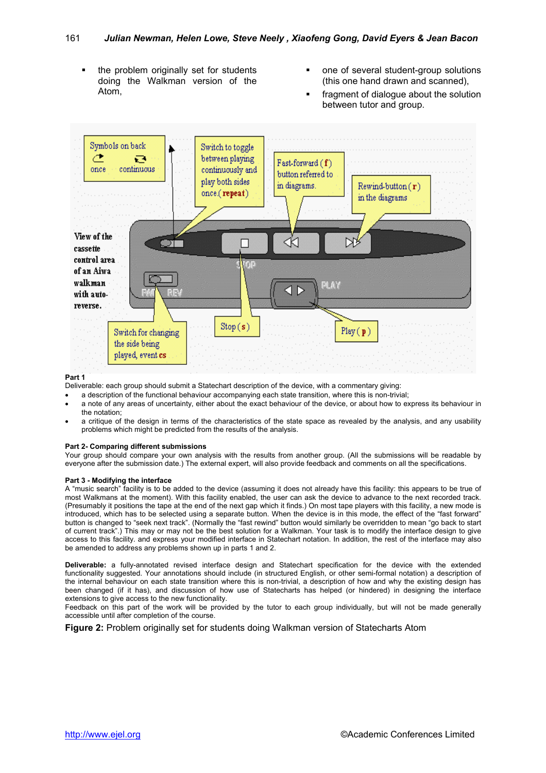- ! the problem originally set for students doing the Walkman version of the Atom,
- one of several student-group solutions (this one hand drawn and scanned),
- fragment of dialogue about the solution between tutor and group.



#### **Part 1**

Deliverable: each group should submit a Statechart description of the device, with a commentary giving:

- a description of the functional behaviour accompanying each state transition, where this is non-trivial;
- a note of any areas of uncertainty, either about the exact behaviour of the device, or about how to express its behaviour in the notation;
- a critique of the design in terms of the characteristics of the state space as revealed by the analysis, and any usability problems which might be predicted from the results of the analysis.

#### **Part 2- Comparing different submissions**

Your group should compare your own analysis with the results from another group. (All the submissions will be readable by everyone after the submission date.) The external expert, will also provide feedback and comments on all the specifications.

#### **Part 3 - Modifying the interface**

A "music search" facility is to be added to the device (assuming it does not already have this facility: this appears to be true of most Walkmans at the moment). With this facility enabled, the user can ask the device to advance to the next recorded track. (Presumably it positions the tape at the end of the next gap which it finds.) On most tape players with this facility, a new mode is introduced, which has to be selected using a separate button. When the device is in this mode, the effect of the "fast forward" button is changed to "seek next track". (Normally the "fast rewind" button would similarly be overridden to mean "go back to start of current track".) This may or may not be the best solution for a Walkman. Your task is to modify the interface design to give access to this facility. and express your modified interface in Statechart notation. In addition, the rest of the interface may also be amended to address any problems shown up in parts 1 and 2.

**Deliverable:** a fully-annotated revised interface design and Statechart specification for the device with the extended functionality suggested. Your annotations should include (in structured English, or other semi-formal notation) a description of the internal behaviour on each state transition where this is non-trivial, a description of how and why the existing design has been changed (if it has), and discussion of how use of Statecharts has helped (or hindered) in designing the interface extensions to give access to the new functionality.

Feedback on this part of the work will be provided by the tutor to each group individually, but will not be made generally accessible until after completion of the course.

**Figure 2:** Problem originally set for students doing Walkman version of Statecharts Atom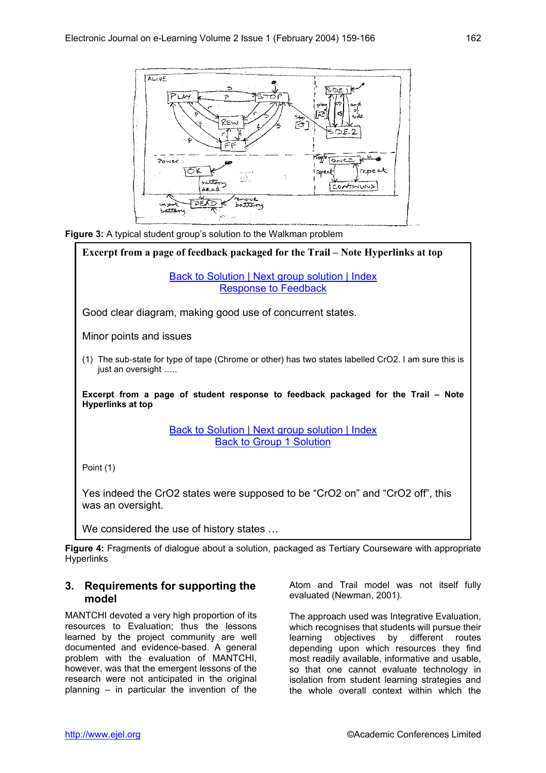





**Figure 4:** Fragments of dialogue about a solution, packaged as Tertiary Courseware with appropriate Hyperlinks

#### **3. Requirements for supporting the model**

MANTCHI devoted a very high proportion of its resources to Evaluation; thus the lessons learned by the project community are well documented and evidence-based. A general problem with the evaluation of MANTCHI, however, was that the emergent lessons of the research were not anticipated in the original planning – in particular the invention of the Atom and Trail model was not itself fully evaluated (Newman, 2001).

The approach used was Integrative Evaluation, which recognises that students will pursue their learning objectives by different routes depending upon which resources they find most readily available, informative and usable, so that one cannot evaluate technology in isolation from student learning strategies and the whole overall context within which the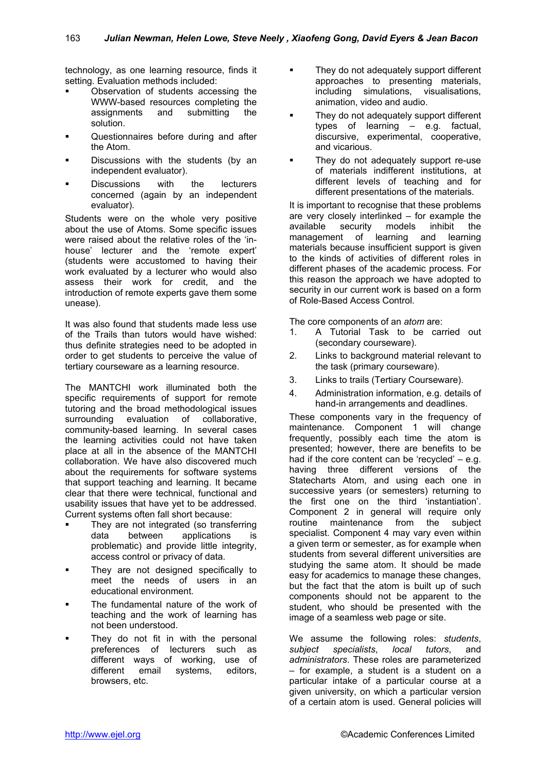technology, as one learning resource, finds it setting. Evaluation methods included:

- Observation of students accessing the WWW-based resources completing the assignments and submitting the solution.
- **.** Questionnaires before during and after the Atom.
- Discussions with the students (by an independent evaluator).
- Discussions with the lecturers concerned (again by an independent

Students were on the whole very positive about the use of Atoms. Some specific issues were raised about the relative roles of the 'inhouse' lecturer and the 'remote expert' (students were accustomed to having their work evaluated by a lecturer who would also assess their work for credit, and the introduction of remote experts gave them some unease).

It was also found that students made less use The core components of an *atom* are:<br>It also found that student would boye wished: It also a Tutorial Task to be can of the Trails than tutors would have wished: thus definite strategies need to be adopted in order to get students to perceive the value of tertiary courseware as a learning resource.

3. Links to trails (Tertiary Courseware). The MANTCHI work illuminated both the specific requirements of support for remote tutoring and the broad methodological issues surrounding evaluation of collaborative, community-based learning. In several cases the learning activities could not have taken place at all in the absence of the MANTCHI collaboration. We have also discovered much about the requirements for software systems that support teaching and learning. It became clear that there were technical, functional and usability issues that have yet to be addressed. Current systems often fall short because:

- They are not integrated (so transferring data between applications is problematic) and provide little integrity, access control or privacy of data.
- They are not designed specifically to meet the needs of users in an educational environment.
- The fundamental nature of the work of teaching and the work of learning has not been understood.
- They do not fit in with the personal preferences of lecturers such as different ways of working, use of different email systems, editors, browsers, etc.
- They do not adequately support different approaches to presenting materials, including simulations, visualisations, animation, video and audio.
- **EXECUTE:** They do not adequately support different types of learning – e.g. factual, discursive, experimental, cooperative, and vicarious.
- They do not adequately support re-use of materials indifferent institutions, at different levels of teaching and for different presentations of the materials.

evaluator). It is important to recognise that these problems are very closely interlinked – for example the available security models inhibit the management of learning and learning materials because insufficient support is given to the kinds of activities of different roles in different phases of the academic process. For this reason the approach we have adopted to security in our current work is based on a form of Role-Based Access Control.

- 1. A Tutorial Task to be carried out (secondary courseware).
- 2. Links to background material relevant to the task (primary courseware).
- 
- Administration information, e.g. details of hand-in arrangements and deadlines.

These components vary in the frequency of maintenance. Component 1 will change frequently, possibly each time the atom is presented; however, there are benefits to be had if the core content can be 'recycled' – e.g. having three different versions of the Statecharts Atom, and using each one in successive years (or semesters) returning to the first one on the third 'instantiation'. Component 2 in general will require only routine maintenance from the subject specialist. Component 4 may vary even within a given term or semester, as for example when students from several different universities are studying the same atom. It should be made easy for academics to manage these changes, but the fact that the atom is built up of such components should not be apparent to the student, who should be presented with the image of a seamless web page or site.

We assume the following roles: *students*, *subject specialists*, *local tutors*, and *administrators*. These roles are parameterized – for example, a student is a student on a particular intake of a particular course at a given university, on which a particular version of a certain atom is used. General policies will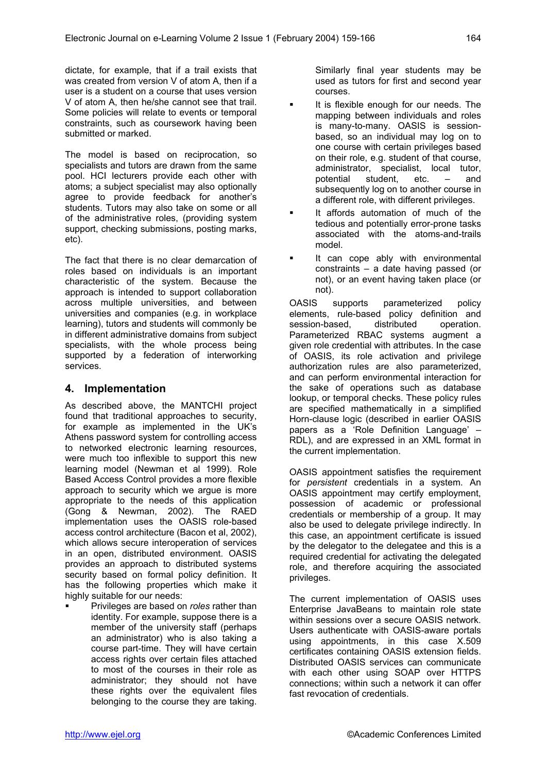dictate, for example, that if a trail exists that was created from version V of atom A, then if a user is a student on a course that uses version V of atom A, then he/she cannot see that trail. Some policies will relate to events or temporal constraints, such as coursework having been submitted or marked.

The model is based on reciprocation, so specialists and tutors are drawn from the same pool. HCI lecturers provide each other with atoms; a subject specialist may also optionally agree to provide feedback for another's students. Tutors may also take on some or all of the administrative roles, (providing system support, checking submissions, posting marks, etc).

The fact that there is no clear demarcation of roles based on individuals is an important characteristic of the system. Because the approach is intended to support collaboration across multiple universities, and between universities and companies (e.g. in workplace learning), tutors and students will commonly be in different administrative domains from subject specialists, with the whole process being supported by a federation of interworking services.

### **4. Implementation**

As described above, the MANTCHI project found that traditional approaches to security, for example as implemented in the UK's Athens password system for controlling access to networked electronic learning resources, were much too inflexible to support this new learning model (Newman et al 1999). Role Based Access Control provides a more flexible approach to security which we argue is more appropriate to the needs of this application (Gong & Newman, 2002). The RAED implementation uses the OASIS role-based access control architecture (Bacon et al, 2002), which allows secure interoperation of services in an open, distributed environment. OASIS provides an approach to distributed systems security based on formal policy definition. It has the following properties which make it highly suitable for our needs:

! Privileges are based on *roles* rather than identity. For example, suppose there is a member of the university staff (perhaps an administrator) who is also taking a course part-time. They will have certain access rights over certain files attached to most of the courses in their role as administrator; they should not have these rights over the equivalent files belonging to the course they are taking.

Similarly final year students may be used as tutors for first and second year courses.

- It is flexible enough for our needs. The mapping between individuals and roles is many-to-many. OASIS is sessionbased, so an individual may log on to one course with certain privileges based on their role, e.g. student of that course, administrator, specialist, local tutor, potential student, etc. – and subsequently log on to another course in a different role, with different privileges.
- It affords automation of much of the tedious and potentially error-prone tasks associated with the atoms-and-trails model.
- It can cope ably with environmental constraints – a date having passed (or not), or an event having taken place (or not).

OASIS supports parameterized policy elements, rule-based policy definition and session-based, distributed operation. Parameterized RBAC systems augment a given role credential with attributes. In the case of OASIS, its role activation and privilege authorization rules are also parameterized, and can perform environmental interaction for the sake of operations such as database lookup, or temporal checks. These policy rules are specified mathematically in a simplified Horn-clause logic (described in earlier OASIS papers as a 'Role Definition Language' – RDL), and are expressed in an XML format in the current implementation.

OASIS appointment satisfies the requirement for *persistent* credentials in a system. An OASIS appointment may certify employment, possession of academic or professional credentials or membership of a group. It may also be used to delegate privilege indirectly. In this case, an appointment certificate is issued by the delegator to the delegatee and this is a required credential for activating the delegated role, and therefore acquiring the associated privileges.

The current implementation of OASIS uses Enterprise JavaBeans to maintain role state within sessions over a secure OASIS network. Users authenticate with OASIS-aware portals using appointments, in this case X.509 certificates containing OASIS extension fields. Distributed OASIS services can communicate with each other using SOAP over HTTPS connections; within such a network it can offer fast revocation of credentials.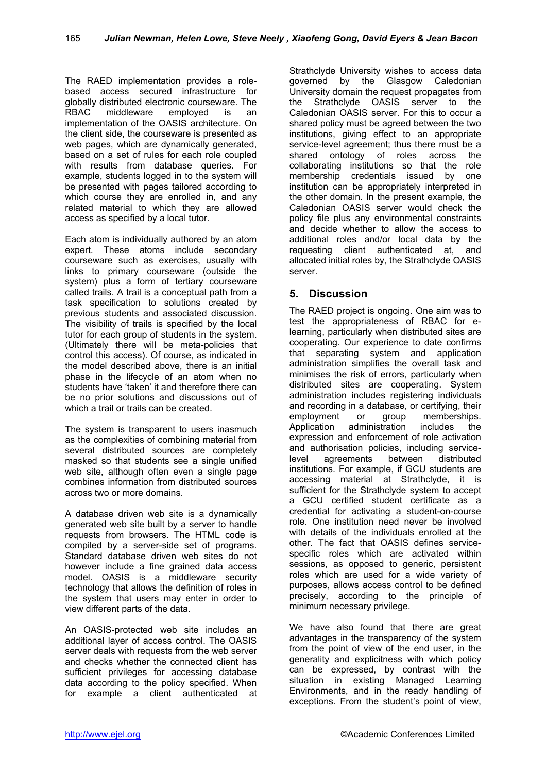The RAED implementation provides a rolebased access secured infrastructure for globally distributed electronic courseware. The RBAC middleware employed is an implementation of the OASIS architecture. On the client side, the courseware is presented as web pages, which are dynamically generated, based on a set of rules for each role coupled with results from database queries. For example, students logged in to the system will be presented with pages tailored according to which course they are enrolled in, and any related material to which they are allowed access as specified by a local tutor.

Each atom is individually authored by an atom expert. These atoms include secondary courseware such as exercises, usually with links to primary courseware (outside the system) plus a form of tertiary courseware called trails. A trail is a conceptual path from a task specification to solutions created by previous students and associated discussion. The visibility of trails is specified by the local tutor for each group of students in the system. (Ultimately there will be meta-policies that control this access). Of course, as indicated in the model described above, there is an initial phase in the lifecycle of an atom when no students have 'taken' it and therefore there can be no prior solutions and discussions out of which a trail or trails can be created.

The system is transparent to users inasmuch as the complexities of combining material from several distributed sources are completely masked so that students see a single unified web site, although often even a single page combines information from distributed sources across two or more domains.

A database driven web site is a dynamically generated web site built by a server to handle requests from browsers. The HTML code is compiled by a server-side set of programs. Standard database driven web sites do not however include a fine grained data access model. OASIS is a middleware security technology that allows the definition of roles in the system that users may enter in order to view different parts of the data.

An OASIS-protected web site includes an additional layer of access control. The OASIS server deals with requests from the web server and checks whether the connected client has sufficient privileges for accessing database data according to the policy specified. When for example a client authenticated at

Strathclyde University wishes to access data governed by the Glasgow Caledonian University domain the request propagates from the Strathclyde OASIS server to the Caledonian OASIS server. For this to occur a shared policy must be agreed between the two institutions, giving effect to an appropriate service-level agreement; thus there must be a shared ontology of roles across the collaborating institutions so that the role membership credentials issued by one institution can be appropriately interpreted in the other domain. In the present example, the Caledonian OASIS server would check the policy file plus any environmental constraints and decide whether to allow the access to additional roles and/or local data by the requesting client authenticated at, and allocated initial roles by, the Strathclyde OASIS server.

# **5. Discussion**

The RAED project is ongoing. One aim was to test the appropriateness of RBAC for elearning, particularly when distributed sites are cooperating. Our experience to date confirms that separating system and application administration simplifies the overall task and minimises the risk of errors, particularly when distributed sites are cooperating. System administration includes registering individuals and recording in a database, or certifying, their employment or group memberships. Application administration includes the expression and enforcement of role activation and authorisation policies, including servicelevel agreements between distributed institutions. For example, if GCU students are accessing material at Strathclyde, it is sufficient for the Strathclyde system to accept a GCU certified student certificate as a credential for activating a student-on-course role. One institution need never be involved with details of the individuals enrolled at the other. The fact that OASIS defines servicespecific roles which are activated within sessions, as opposed to generic, persistent roles which are used for a wide variety of purposes, allows access control to be defined precisely, according to the principle of minimum necessary privilege.

We have also found that there are great advantages in the transparency of the system from the point of view of the end user, in the generality and explicitness with which policy can be expressed, by contrast with the situation in existing Managed Learning Environments, and in the ready handling of exceptions. From the student's point of view,